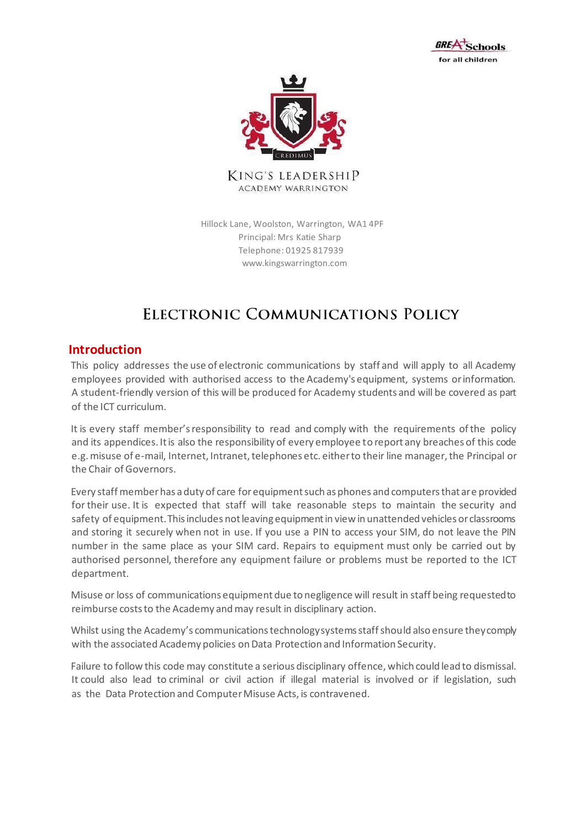



**KING'S LEADERSHIP ACADEMY WARRINGTON** 

Hillock Lane, Woolston, Warrington, WA1 4PF Principal: Mrs Katie Sharp Telephone: 01925 817939 www.kingswarrington.com

# ELECTRONIC COMMUNICATIONS POLICY

#### **Introduction**

This policy addresses the use of electronic communications by staff and will apply to all Academy employees provided with authorised access to the Academy's equipment, systems or information. A student-friendly version of this will be produced for Academy students and will be covered as part of the ICT curriculum.

It is every staff member's responsibility to read and comply with the requirements of the policy and its appendices. It is also the responsibility of every employee to report any breaches of this code e.g. misuse of e-mail, Internet, Intranet, telephones etc. either to their line manager, the Principal or the Chair of Governors.

Every staff member has a duty of care for equipment such as phones and computers that are provided for their use. It is expected that staff will take reasonable steps to maintain the security and safety of equipment. This includes not leaving equipment in view in unattended vehicles or classrooms and storing it securely when not in use. If you use a PIN to access your SIM, do not leave the PIN number in the same place as your SIM card. Repairs to equipment must only be carried out by authorised personnel, therefore any equipment failure or problems must be reported to the ICT department.

Misuse or loss of communications equipment due to negligence will result in staff being requested to reimburse costs to the Academy and may result in disciplinary action.

Whilst using the Academy's communications technology systems staff should also ensure they comply with the associated Academy policies on Data Protection and Information Security.

Failure to follow this code may constitute a serious disciplinary offence, which could lead to dismissal. It could also lead to criminal or civil action if illegal material is involved or if legislation, such as the Data Protection and Computer Misuse Acts, is contravened.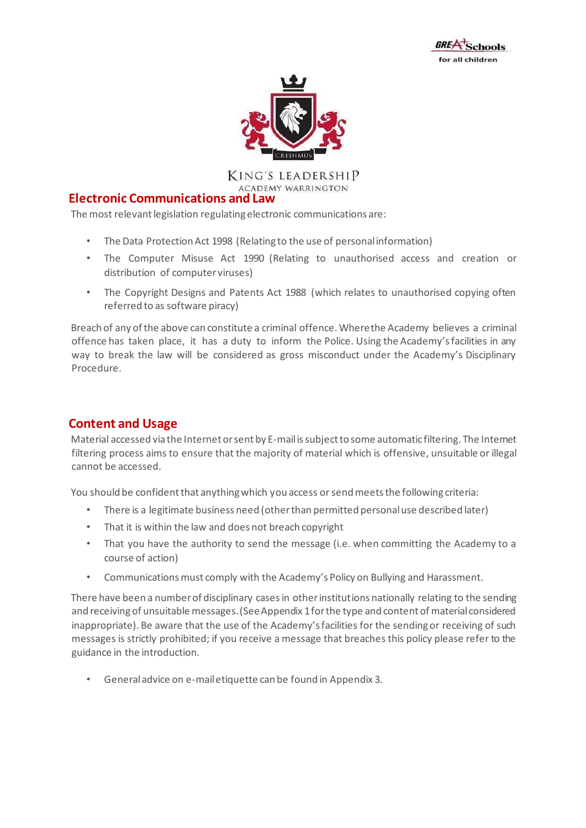



KING'S LEADERSHIP **ACADEMY WARRINGTON** 

#### **Electronic Communications and Law**

The most relevant legislation regulating electronic communications are:

- The Data Protection Act 1998 (Relating to the use of personal information)
- The Computer Misuse Act 1990 (Relating to unauthorised access and creation or distribution of computer viruses)
- The Copyright Designs and Patents Act 1988 (which relates to unauthorised copying often referred to as software piracy)

Breach of any of the above can constitute a criminal offence. Where the Academy believes a criminal offence has taken place, it has a duty to inform the Police. Using the Academy's facilities in any way to break the law will be considered as gross misconduct under the Academy's Disciplinary Procedure.

# **Content and Usage**

Material accessed via the Internet or sent by E-mail is subject to some automatic filtering. The Internet filtering process aims to ensure that the majority of material which is offensive, unsuitable or illegal cannot be accessed.

You should be confident that anything which you access or send meets the following criteria:

- There is a legitimate business need (other than permitted personal use described later)
- That it is within the law and does not breach copyright
- That you have the authority to send the message (i.e. when committing the Academy to a course of action)
- Communications must comply with the Academy's Policy on Bullying and Harassment.

There have been a number of disciplinary cases in other institutions nationally relating to the sending and receiving of unsuitable messages. (See Appendix 1 for the type and content of material considered inappropriate). Be aware that the use of the Academy's facilities for the sending or receiving of such messages is strictly prohibited; if you receive a message that breaches this policy please refer to the guidance in the introduction.

• General advice on e-mail etiquette can be found in Appendix 3.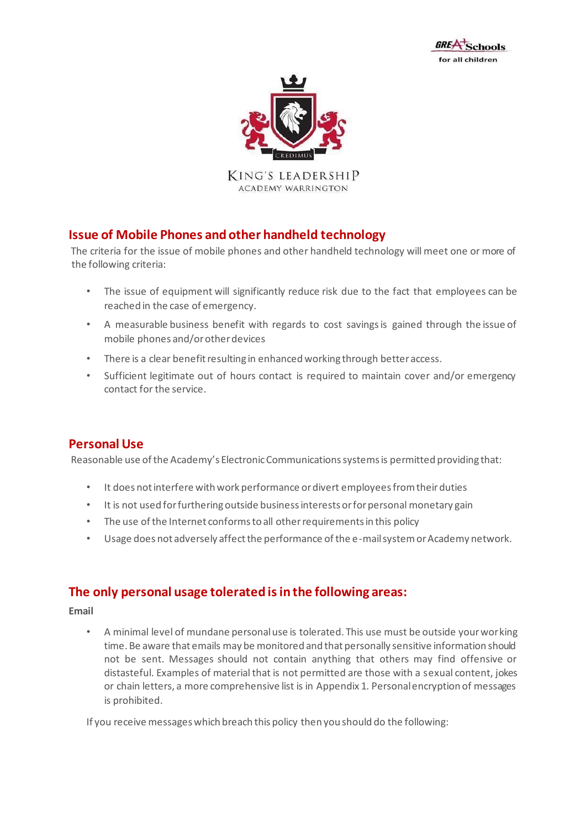



KING'S LEADERSHIP **ACADEMY WARRINGTON** 

# **Issue of Mobile Phones and other handheld technology**

The criteria for the issue of mobile phones and other handheld technology will meet one or more of the following criteria:

- The issue of equipment will significantly reduce risk due to the fact that employees can be reached in the case of emergency.
- A measurable business benefit with regards to cost savings is gained through the issue of mobile phones and/or other devices
- There is a clear benefit resulting in enhanced working through better access.
- Sufficient legitimate out of hours contact is required to maintain cover and/or emergency contact for the service.

# **Personal Use**

Reasonable use of the Academy's Electronic Communications systems is permitted providing that:

- It does not interfere with work performance or divert employees from their duties
- It is not used for furthering outside business interests or for personal monetary gain
- The use of the Internet conforms to all other requirements in this policy
- Usage does not adversely affect the performance of the e-mail system or Academy network.

# **The only personal usage tolerated is in the following areas:**

**Email** 

• A minimal level of mundane personal use is tolerated. This use must be outside your working time. Be aware that emails may be monitored and that personally sensitive information should not be sent. Messages should not contain anything that others may find offensive or distasteful. Examples of material that is not permitted are those with a sexual content, jokes or chain letters, a more comprehensive list is in Appendix 1. Personal encryption of messages is prohibited.

If you receive messages which breach this policy then you should do the following: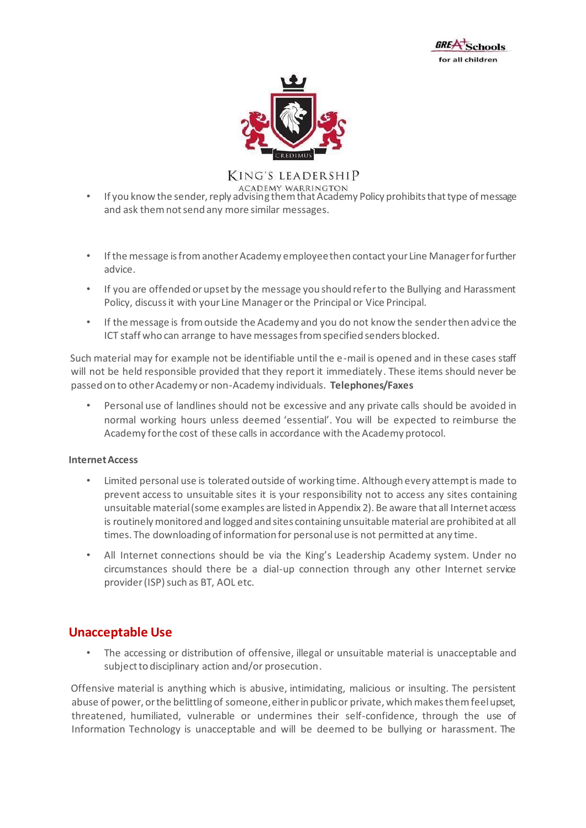



- If you know the sender, reply advising them that Academy Policy prohibits that type of message and ask them not send any more similar messages.
- If the message is from another Academy employee then contact your Line Manager for further advice.
- If you are offended or upset by the message you should refer to the Bullying and Harassment Policy, discuss it with your Line Manager or the Principal or Vice Principal.
- If the message is from outside the Academy and you do not know the sender then advice the ICT staff who can arrange to have messages from specified senders blocked.

Such material may for example not be identifiable until the e-mail is opened and in these cases staff will not be held responsible provided that they report it immediately. These items should never be passed on to other Academy or non-Academy individuals. **Telephones/Faxes** 

• Personal use of landlines should not be excessive and any private calls should be avoided in normal working hours unless deemed 'essential'. You will be expected to reimburse the Academy for the cost of these calls in accordance with the Academy protocol.

#### **Internet Access**

- Limited personal use is tolerated outside of working time. Although every attempt is made to prevent access to unsuitable sites it is your responsibility not to access any sites containing unsuitable material (some examples are listed in Appendix 2). Be aware that all Internet access is routinely monitored and logged and sites containing unsuitable material are prohibited at all times. The downloading of information for personal use is not permitted at any time.
- All Internet connections should be via the King's Leadership Academy system. Under no circumstances should there be a dial-up connection through any other Internet service provider (ISP) such as BT, AOL etc.

# **Unacceptable Use**

• The accessing or distribution of offensive, illegal or unsuitable material is unacceptable and subject to disciplinary action and/or prosecution.

Offensive material is anything which is abusive, intimidating, malicious or insulting. The persistent abuse of power, or the belittling of someone, either in public or private, which makes them feel upset, threatened, humiliated, vulnerable or undermines their self-confidence, through the use of Information Technology is unacceptable and will be deemed to be bullying or harassment. The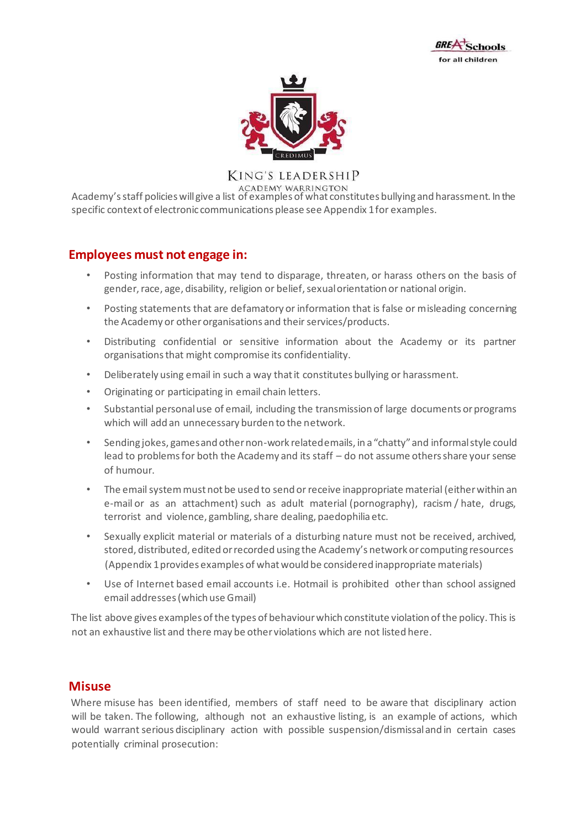



ACADEMY WARRINGTON<br>Academy's staff policies will give a list of examples of what constitutes bullying and harassment. In the specific context of electronic communications please see Appendix 1 for examples.

# **Employees must not engage in:**

- Posting information that may tend to disparage, threaten, or harass others on the basis of gender, race, age, disability, religion or belief, sexual orientation or national origin.
- Posting statements that are defamatory or information that is false or misleading concerning the Academy or other organisations and their services/products.
- Distributing confidential or sensitive information about the Academy or its partner organisations that might compromise its confidentiality.
- Deliberately using email in such a way that it constitutes bullying or harassment.
- Originating or participating in email chain letters.
- Substantial personal use of email, including the transmission of large documents or programs which will add an unnecessary burden to the network.
- Sending jokes, games and other non-work related emails, in a "chatty" and informal style could lead to problems for both the Academy and its staff – do not assume others share your sense of humour.
- The email system must not be used to send or receive inappropriate material (either within an e-mail or as an attachment) such as adult material (pornography), racism / hate, drugs, terrorist and violence, gambling, share dealing, paedophilia etc.
- Sexually explicit material or materials of a disturbing nature must not be received, archived, stored, distributed, edited or recorded using the Academy's network or computing resources (Appendix 1 provides examples of what would be considered inappropriate materials)
- Use of Internet based email accounts i.e. Hotmail is prohibited other than school assigned email addresses (which use Gmail)

The list above gives examples of the types of behaviour which constitute violation of the policy. This is not an exhaustive list and there may be other violations which are not listed here.

#### **Misuse**

Where misuse has been identified, members of staff need to be aware that disciplinary action will be taken. The following, although not an exhaustive listing, is an example of actions, which would warrant serious disciplinary action with possible suspension/dismissal and in certain cases potentially criminal prosecution: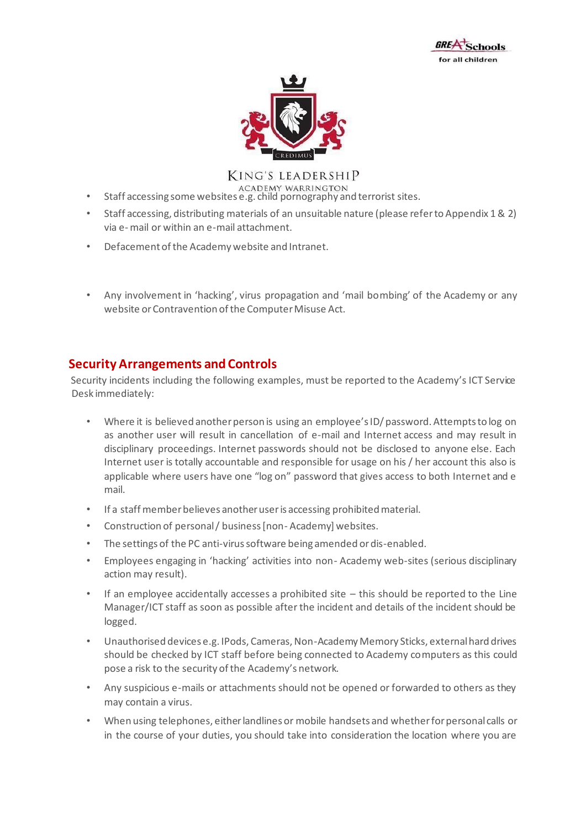



- Staff accessing some websites e.g. child pornography and terrorist sites.
- Staff accessing, distributing materials of an unsuitable nature (please refer to Appendix 1 & 2) via e- mail or within an e-mail attachment.
- Defacement of the Academy website and Intranet.
- Any involvement in 'hacking', virus propagation and 'mail bombing' of the Academy or any website or Contravention of the Computer Misuse Act.

### **Security Arrangements and Controls**

Security incidents including the following examples, must be reported to the Academy's ICT Service Desk immediately:

- Where it is believed another person is using an employee's ID/ password. Attempts to log on as another user will result in cancellation of e-mail and Internet access and may result in disciplinary proceedings. Internet passwords should not be disclosed to anyone else. Each Internet user is totally accountable and responsible for usage on his / her account this also is applicable where users have one "log on" password that gives access to both Internet and e mail.
- If a staff member believes another user is accessing prohibited material.
- Construction of personal / business [non- Academy] websites.
- The settings of the PC anti-virus software being amended or dis-enabled.
- Employees engaging in 'hacking' activities into non- Academy web-sites (serious disciplinary action may result).
- If an employee accidentally accesses a prohibited site  $-$  this should be reported to the Line Manager/ICT staff as soon as possible after the incident and details of the incident should be logged.
- Unauthorised devices e.g. IPods, Cameras, Non-Academy Memory Sticks, external hard drives should be checked by ICT staff before being connected to Academy computers as this could pose a risk to the security of the Academy's network.
- Any suspicious e-mails or attachments should not be opened or forwarded to others as they may contain a virus.
- When using telephones, either landlines or mobile handsets and whether for personal calls or in the course of your duties, you should take into consideration the location where you are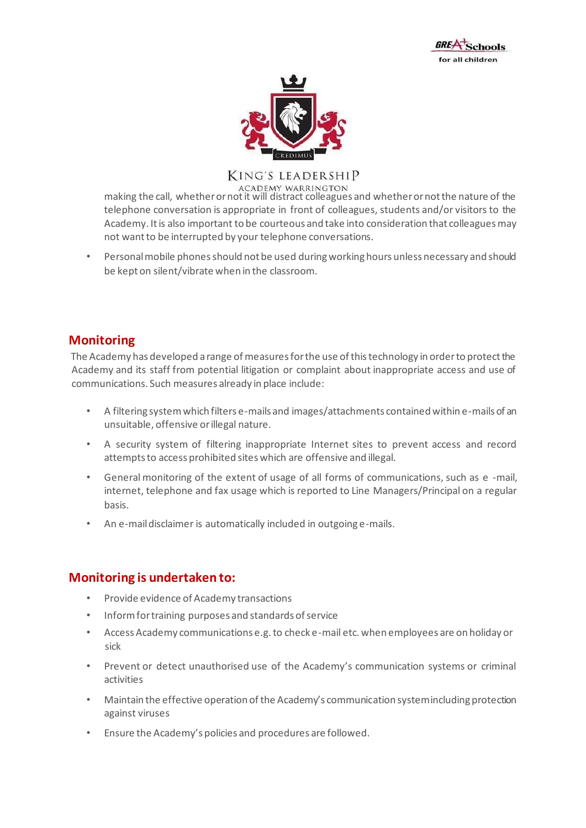



ACADEMY WARRINGTON<br>making the call, whether or not it will distract colleagues and whether or not the nature of the telephone conversation is appropriate in front of colleagues, students and/or visitors to the Academy. It is also important to be courteous and take into consideration that colleagues may not want to be interrupted by your telephone conversations.

• Personal mobile phones should not be used during working hours unless necessary and should be kept on silent/vibrate when in the classroom.

# **Monitoring**

The Academy has developed a range of measures for the use of this technology in order to protect the Academy and its staff from potential litigation or complaint about inappropriate access and use of communications. Such measures already in place include:

- A filtering system which filters e-mails and images/attachments contained within e-mails of an unsuitable, offensive or illegal nature.
- A security system of filtering inappropriate Internet sites to prevent access and record attempts to access prohibited sites which are offensive and illegal.
- General monitoring of the extent of usage of all forms of communications, such as e -mail, internet, telephone and fax usage which is reported to Line Managers/Principal on a regular basis.
- An e-mail disclaimer is automatically included in outgoing e-mails.

# **Monitoring is undertaken to:**

- Provide evidence of Academy transactions
- Inform for training purposes and standards of service
- Access Academy communications e.g. to check e-mail etc. when employees are on holiday or sick
- Prevent or detect unauthorised use of the Academy's communication systems or criminal activities
- Maintain the effective operation of the Academy's communication system including protection against viruses
- Ensure the Academy's policies and procedures are followed.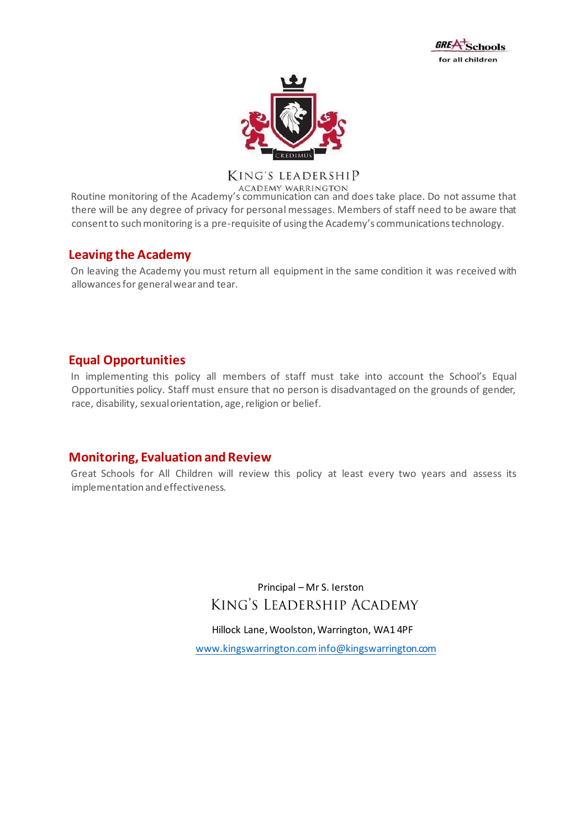



ACADEMY WARRINGTON<br>Routine monitoring of the Academy's communication can and does take place. Do not assume that there will be any degree of privacy for personal messages. Members of staff need to be aware that consent to such monitoring is a pre-requisite of using the Academy's communications technology.

# **Leaving the Academy**

On leaving the Academy you must return all equipment in the same condition it was received with allowances for general wear and tear.

# **Equal Opportunities**

In implementing this policy all members of staff must take into account the School's Equal Opportunities policy. Staff must ensure that no person is disadvantaged on the grounds of gender, race, disability, sexual orientation, age, religion or belief.

# **Monitoring, Evaluation and Review**

Great Schools for All Children will review this policy at least every two years and assess its implementation and effectiveness.

> Principal – Mr S. Ierston KING'S LEADERSHIP ACADEMY

Hillock Lane, Woolston, Warrington, WA1 4PF

[www.kingswarrington.comi](http://www.kingswarrington.com/)nfo@kingswarrington.com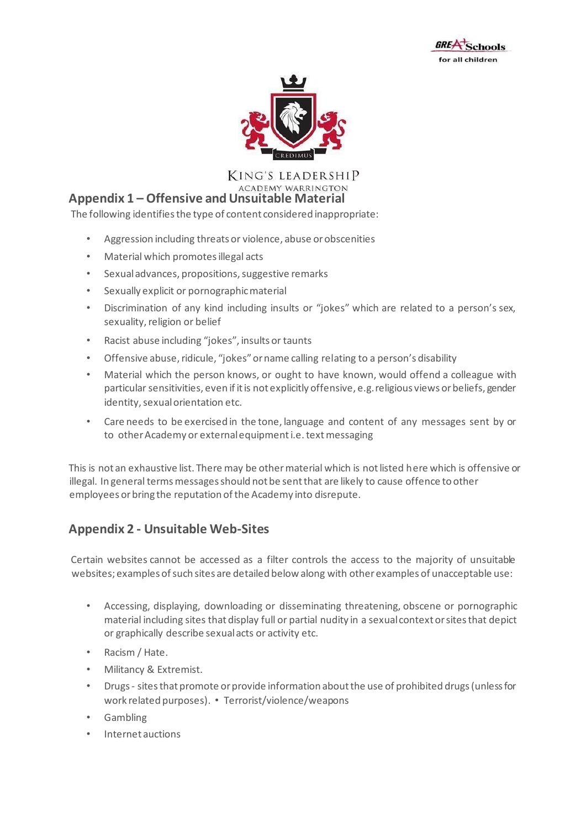



**KING'S LEADERSHIP ACADEMY WARRINGTON** 

# **Appendix 1 – Offensive and Unsuitable Material**

The following identifies the type of content considered inappropriate:

- Aggression including threats or violence, abuse or obscenities
- Material which promotes illegal acts
- Sexual advances, propositions, suggestive remarks
- Sexually explicit or pornographic material
- Discrimination of any kind including insults or "jokes" which are related to a person's sex, sexuality, religion or belief
- Racist abuse including "jokes", insults or taunts
- Offensive abuse, ridicule, "jokes" or name calling relating to a person's disability
- Material which the person knows, or ought to have known, would offend a colleague with particular sensitivities, even if it is not explicitly offensive, e.g. religious views or beliefs, gender identity, sexual orientation etc.
- Care needs to be exercised in the tone, language and content of any messages sent by or to other Academy or external equipment i.e. text messaging

This is not an exhaustive list. There may be other material which is not listed here which is offensive or illegal. In general terms messages should not be sent that are likely to cause offence to other employees or bring the reputation of the Academy into disrepute.

# **Appendix 2 - Unsuitable Web-Sites**

Certain websites cannot be accessed as a filter controls the access to the majority of unsuitable websites; examples of such sites are detailed below along with other examples of unacceptable use:

- Accessing, displaying, downloading or disseminating threatening, obscene or pornographic material including sites that display full or partial nudity in a sexual context or sites that depict or graphically describe sexual acts or activity etc.
- Racism / Hate.
- Militancy & Extremist.
- Drugs sites that promote or provide information about the use of prohibited drugs (unless for work related purposes). • Terrorist/violence/weapons
- Gambling
- Internet auctions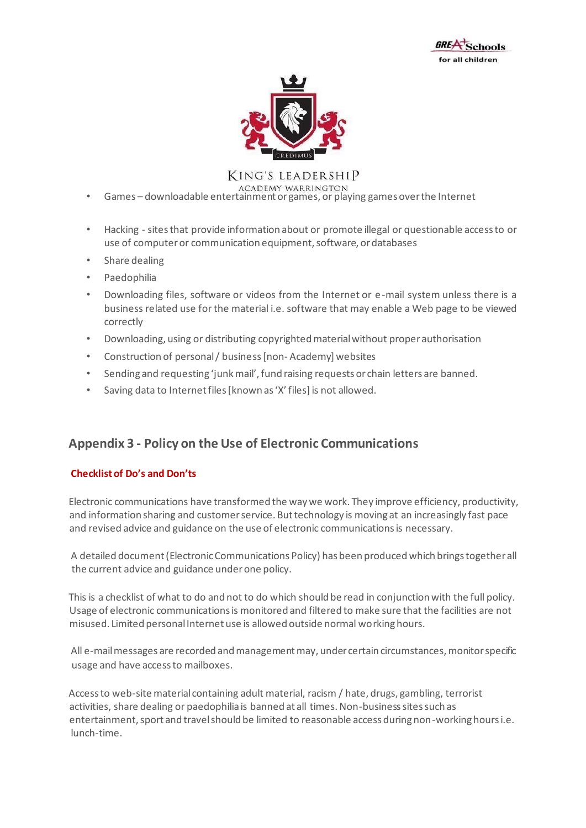



- Games downloadable entertainment or games, or playing games over the Internet
- Hacking sites that provide information about or promote illegal or questionable access to or use of computer or communication equipment, software, or databases
- Share dealing
- Paedophilia
- Downloading files, software or videos from the Internet or e-mail system unless there is a business related use for the material i.e. software that may enable a Web page to be viewed correctly
- Downloading, using or distributing copyrighted material without proper authorisation
- Construction of personal / business [non- Academy] websites
- Sending and requesting 'junk mail', fund raising requests or chain letters are banned.
- Saving data to Internet files [known as 'X' files] is not allowed.

# **Appendix 3 - Policy on the Use of Electronic Communications**

#### **Checklist of Do's and Don'ts**

Electronic communications have transformed the way we work. They improve efficiency, productivity, and information sharing and customer service. But technology is moving at an increasingly fast pace and revised advice and guidance on the use of electronic communications is necessary.

A detailed document (Electronic Communications Policy) has been produced which brings together all the current advice and guidance under one policy.

This is a checklist of what to do and not to do which should be read in conjunction with the full policy. Usage of electronic communications is monitored and filtered to make sure that the facilities are not misused. Limited personal Internet use is allowed outside normal working hours.

All e-mail messages are recorded and management may, under certain circumstances, monitor specific usage and have access to mailboxes.

Access to web-site material containing adult material, racism / hate, drugs, gambling, terrorist activities, share dealing or paedophilia is banned at all times. Non-business sites such as entertainment, sport and travel should be limited to reasonable access during non-working hours i.e. lunch-time.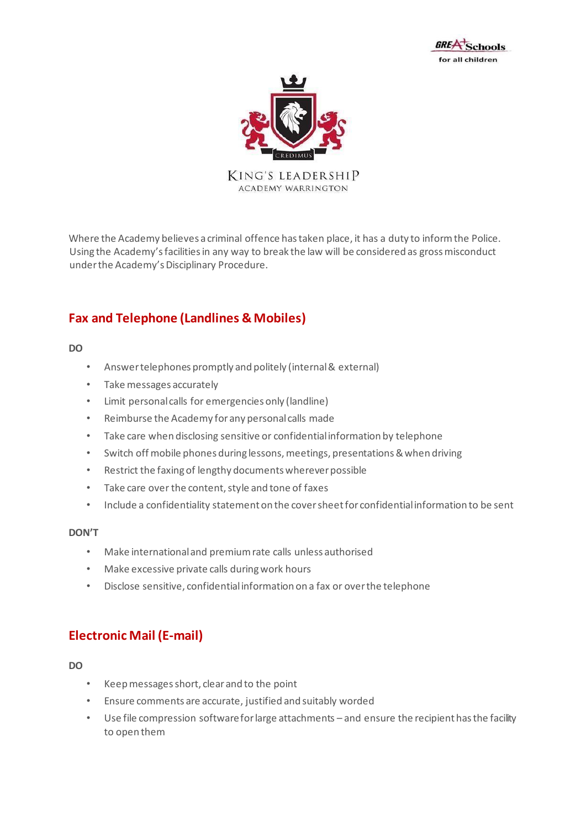



Where the Academy believes a criminal offence has taken place, it has a duty to inform the Police. Using the Academy's facilities in any way to break the law will be considered as gross misconduct under the Academy's Disciplinary Procedure.

# **Fax and Telephone (Landlines & Mobiles)**

**DO** 

- Answer telephones promptly and politely (internal & external)
- Take messages accurately
- Limit personal calls for emergencies only (landline)
- Reimburse the Academy for any personal calls made
- Take care when disclosing sensitive or confidential information by telephone
- Switch off mobile phones during lessons, meetings, presentations & when driving
- Restrict the faxing of lengthy documents wherever possible
- Take care over the content, style and tone of faxes
- Include a confidentiality statement on the cover sheet for confidential information to be sent

#### **DON'T**

- Make international and premium rate calls unless authorised
- Make excessive private calls during work hours
- Disclose sensitive, confidential information on a fax or over the telephone

# **Electronic Mail (E-mail)**

#### **DO**

- Keep messages short, clear and to the point
- Ensure comments are accurate, justified and suitably worded
- Use file compression software for large attachments and ensure the recipient has the facility to open them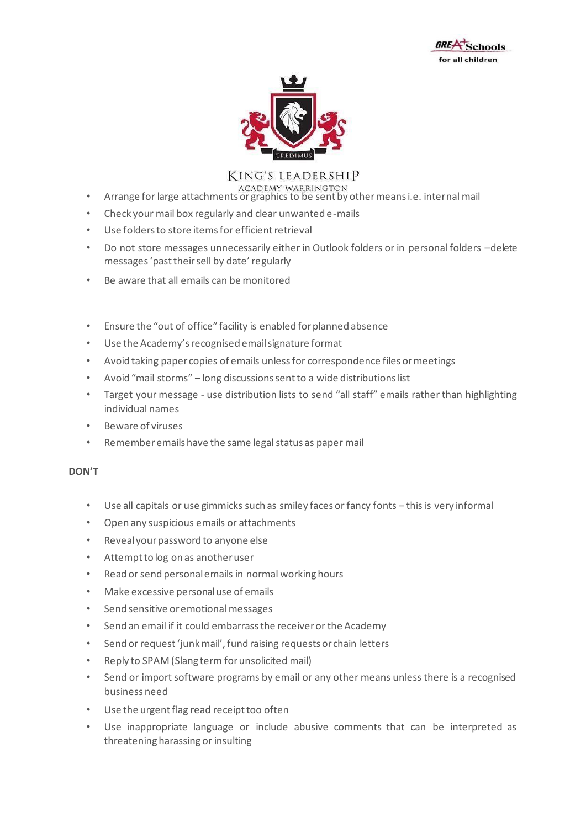



- ACADEMY WARRINGTON<br>Arrange for large attachments or graphics to be sent by other means i.e. internal mail
- Check your mail box regularly and clear unwanted e-mails
- Use folders to store items for efficient retrieval
- Do not store messages unnecessarily either in Outlook folders or in personal folders –delete messages 'past their sell by date' regularly
- Be aware that all emails can be monitored
- Ensure the "out of office" facility is enabled for planned absence
- Use the Academy's recognised email signature format
- Avoid taking paper copies of emails unless for correspondence files or meetings
- Avoid "mail storms" long discussions sent to a wide distributions list
- Target your message use distribution lists to send "all staff" emails rather than highlighting individual names
- Beware of viruses
- Remember emails have the same legal status as paper mail

#### **DON'T**

- Use all capitals or use gimmicks such as smiley faces or fancy fonts this is very informal
- Open any suspicious emails or attachments
- Reveal your password to anyone else
- Attempt to log on as another user
- Read or send personal emails in normal working hours
- Make excessive personal use of emails
- Send sensitive or emotional messages
- Send an email if it could embarrass the receiver or the Academy
- Send or request 'junk mail', fund raising requests or chain letters
- Reply to SPAM (Slang term for unsolicited mail)
- Send or import software programs by email or any other means unless there is a recognised business need
- Use the urgent flag read receipt too often
- Use inappropriate language or include abusive comments that can be interpreted as threatening harassing or insulting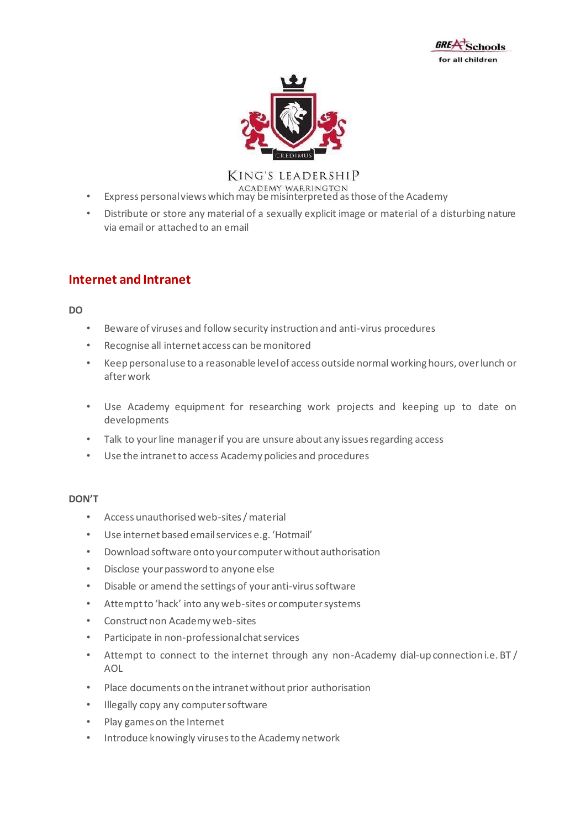



- Express personal views which may be misinterpreted as those of the Academy
- Distribute or store any material of a sexually explicit image or material of a disturbing nature via email or attached to an email

# **Internet and Intranet**

**DO** 

- Beware of viruses and follow security instruction and anti-virus procedures
- Recognise all internet access can be monitored
- Keep personal use to a reasonable level of access outside normal working hours, over lunch or after work
- Use Academy equipment for researching work projects and keeping up to date on developments
- Talk to your line manager if you are unsure about any issues regarding access
- Use the intranet to access Academy policies and procedures

#### **DON'T**

- Access unauthorised web-sites / material
- Use internet based email services e.g. 'Hotmail'
- Download software onto your computer without authorisation
- Disclose your password to anyone else
- Disable or amend the settings of your anti-virus software
- Attempt to 'hack' into any web-sites or computer systems
- Construct non Academy web-sites
- Participate in non-professional chat services
- Attempt to connect to the internet through any non-Academy dial-up connection i.e. BT / AOL
- Place documents on the intranet without prior authorisation
- Illegally copy any computer software
- Play games on the Internet
- Introduce knowingly viruses to the Academy network